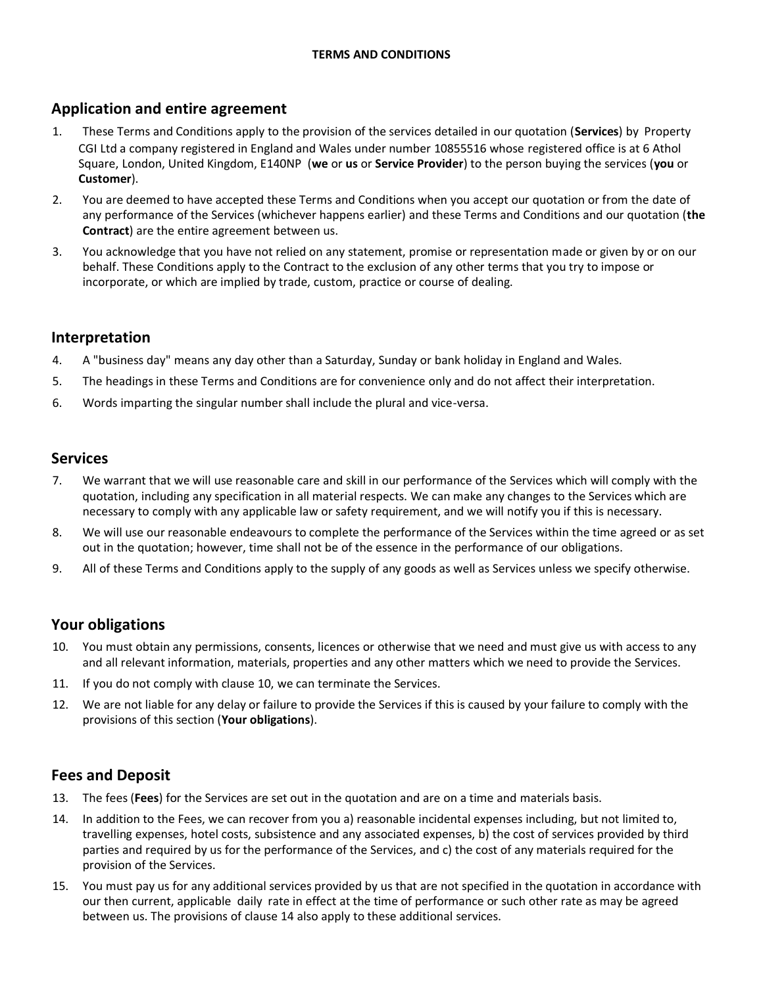# **Application and entire agreement**

- 1. These Terms and Conditions apply to the provision of the services detailed in our quotation (**Services**) by Property CGI Ltd a company registered in England and Wales under number 10855516 whose registered office is at 6 Athol Square, London, United Kingdom, E140NP (**we** or **us** or **Service Provider**) to the person buying the services (**you** or **Customer**).
- 2. You are deemed to have accepted these Terms and Conditions when you accept our quotation or from the date of any performance of the Services (whichever happens earlier) and these Terms and Conditions and our quotation (**the Contract**) are the entire agreement between us.
- 3. You acknowledge that you have not relied on any statement, promise or representation made or given by or on our behalf. These Conditions apply to the Contract to the exclusion of any other terms that you try to impose or incorporate, or which are implied by trade, custom, practice or course of dealing.

### **Interpretation**

- 4. A "business day" means any day other than a Saturday, Sunday or bank holiday in England and Wales.
- 5. The headings in these Terms and Conditions are for convenience only and do not affect their interpretation.
- 6. Words imparting the singular number shall include the plural and vice-versa.

### **Services**

- 7. We warrant that we will use reasonable care and skill in our performance of the Services which will comply with the quotation, including any specification in all material respects. We can make any changes to the Services which are necessary to comply with any applicable law or safety requirement, and we will notify you if this is necessary.
- 8. We will use our reasonable endeavours to complete the performance of the Services within the time agreed or as set out in the quotation; however, time shall not be of the essence in the performance of our obligations.
- 9. All of these Terms and Conditions apply to the supply of any goods as well as Services unless we specify otherwise.

# **Your obligations**

- 10. You must obtain any permissions, consents, licences or otherwise that we need and must give us with access to any and all relevant information, materials, properties and any other matters which we need to provide the Services.
- 11. If you do not comply with clause 10, we can terminate the Services.
- 12. We are not liable for any delay or failure to provide the Services if this is caused by your failure to comply with the provisions of this section (**Your obligations**).

# **Fees and Deposit**

- 13. The fees (**Fees**) for the Services are set out in the quotation and are on a time and materials basis.
- 14. In addition to the Fees, we can recover from you a) reasonable incidental expenses including, but not limited to, travelling expenses, hotel costs, subsistence and any associated expenses, b) the cost of services provided by third parties and required by us for the performance of the Services, and c) the cost of any materials required for the provision of the Services.
- 15. You must pay us for any additional services provided by us that are not specified in the quotation in accordance with our then current, applicable daily rate in effect at the time of performance or such other rate as may be agreed between us. The provisions of clause 14 also apply to these additional services.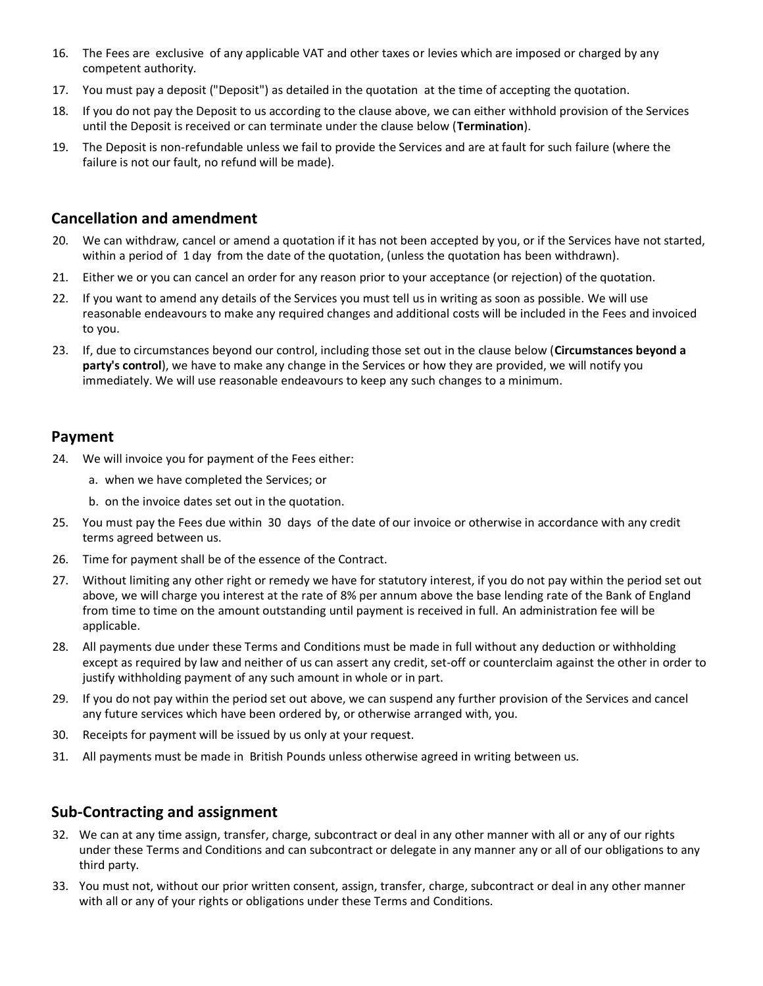- 16. The Fees are exclusive of any applicable VAT and other taxes or levies which are imposed or charged by any competent authority.
- 17. You must pay a deposit ("Deposit") as detailed in the quotation at the time of accepting the quotation.
- 18. If you do not pay the Deposit to us according to the clause above, we can either withhold provision of the Services until the Deposit is received or can terminate under the clause below (**Termination**).
- 19. The Deposit is non-refundable unless we fail to provide the Services and are at fault for such failure (where the failure is not our fault, no refund will be made).

### **Cancellation and amendment**

- 20. We can withdraw, cancel or amend a quotation if it has not been accepted by you, or if the Services have not started, within a period of 1 day from the date of the quotation, (unless the quotation has been withdrawn).
- 21. Either we or you can cancel an order for any reason prior to your acceptance (or rejection) of the quotation.
- 22. If you want to amend any details of the Services you must tell us in writing as soon as possible. We will use reasonable endeavours to make any required changes and additional costs will be included in the Fees and invoiced to you.
- 23. If, due to circumstances beyond our control, including those set out in the clause below (**Circumstances beyond a party's control**), we have to make any change in the Services or how they are provided, we will notify you immediately. We will use reasonable endeavours to keep any such changes to a minimum.

#### **Payment**

- 24. We will invoice you for payment of the Fees either:
	- a. when we have completed the Services; or
	- b. on the invoice dates set out in the quotation.
- 25. You must pay the Fees due within 30 days of the date of our invoice or otherwise in accordance with any credit terms agreed between us.
- 26. Time for payment shall be of the essence of the Contract.
- 27. Without limiting any other right or remedy we have for statutory interest, if you do not pay within the period set out above, we will charge you interest at the rate of 8% per annum above the base lending rate of the Bank of England from time to time on the amount outstanding until payment is received in full. An administration fee will be applicable.
- 28. All payments due under these Terms and Conditions must be made in full without any deduction or withholding except as required by law and neither of us can assert any credit, set-off or counterclaim against the other in order to justify withholding payment of any such amount in whole or in part.
- 29. If you do not pay within the period set out above, we can suspend any further provision of the Services and cancel any future services which have been ordered by, or otherwise arranged with, you.
- 30. Receipts for payment will be issued by us only at your request.
- 31. All payments must be made in British Pounds unless otherwise agreed in writing between us.

### **Sub-Contracting and assignment**

- 32. We can at any time assign, transfer, charge, subcontract or deal in any other manner with all or any of our rights under these Terms and Conditions and can subcontract or delegate in any manner any or all of our obligations to any third party.
- 33. You must not, without our prior written consent, assign, transfer, charge, subcontract or deal in any other manner with all or any of your rights or obligations under these Terms and Conditions.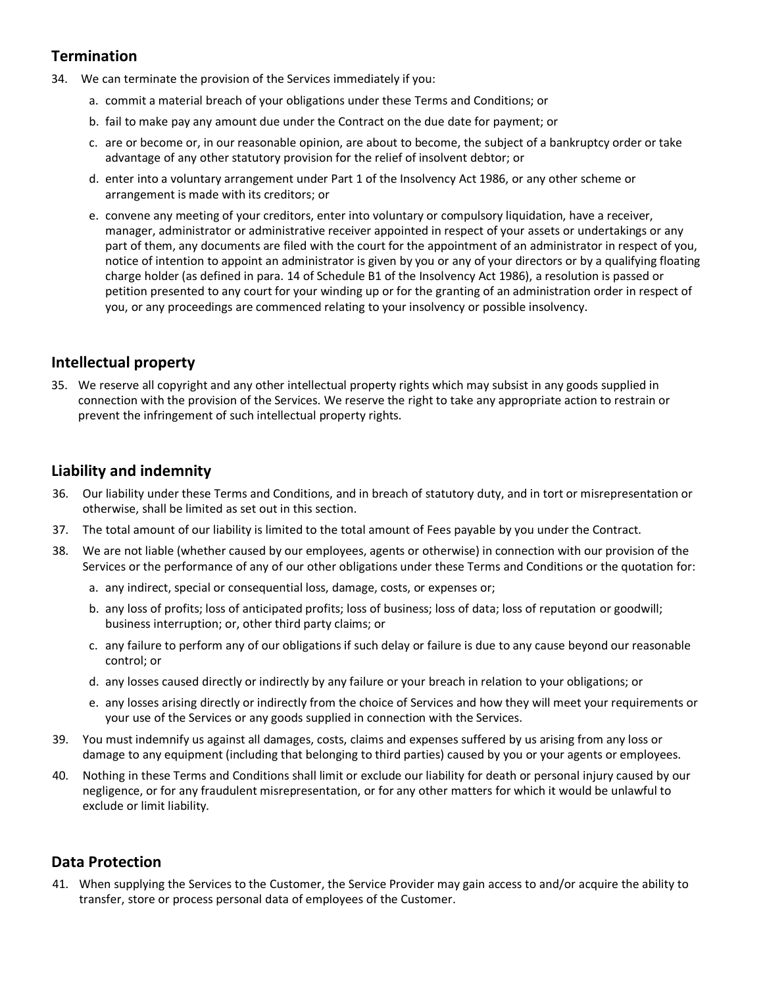# **Termination**

- 34. We can terminate the provision of the Services immediately if you:
	- a. commit a material breach of your obligations under these Terms and Conditions; or
	- b. fail to make pay any amount due under the Contract on the due date for payment; or
	- c. are or become or, in our reasonable opinion, are about to become, the subject of a bankruptcy order or take advantage of any other statutory provision for the relief of insolvent debtor; or
	- d. enter into a voluntary arrangement under Part 1 of the Insolvency Act 1986, or any other scheme or arrangement is made with its creditors; or
	- e. convene any meeting of your creditors, enter into voluntary or compulsory liquidation, have a receiver, manager, administrator or administrative receiver appointed in respect of your assets or undertakings or any part of them, any documents are filed with the court for the appointment of an administrator in respect of you, notice of intention to appoint an administrator is given by you or any of your directors or by a qualifying floating charge holder (as defined in para. 14 of Schedule B1 of the Insolvency Act 1986), a resolution is passed or petition presented to any court for your winding up or for the granting of an administration order in respect of you, or any proceedings are commenced relating to your insolvency or possible insolvency.

### **Intellectual property**

35. We reserve all copyright and any other intellectual property rights which may subsist in any goods supplied in connection with the provision of the Services. We reserve the right to take any appropriate action to restrain or prevent the infringement of such intellectual property rights.

### **Liability and indemnity**

- 36. Our liability under these Terms and Conditions, and in breach of statutory duty, and in tort or misrepresentation or otherwise, shall be limited as set out in this section.
- 37. The total amount of our liability is limited to the total amount of Fees payable by you under the Contract.
- 38. We are not liable (whether caused by our employees, agents or otherwise) in connection with our provision of the Services or the performance of any of our other obligations under these Terms and Conditions or the quotation for:
	- a. any indirect, special or consequential loss, damage, costs, or expenses or;
	- b. any loss of profits; loss of anticipated profits; loss of business; loss of data; loss of reputation or goodwill; business interruption; or, other third party claims; or
	- c. any failure to perform any of our obligations if such delay or failure is due to any cause beyond our reasonable control; or
	- d. any losses caused directly or indirectly by any failure or your breach in relation to your obligations; or
	- e. any losses arising directly or indirectly from the choice of Services and how they will meet your requirements or your use of the Services or any goods supplied in connection with the Services.
- 39. You must indemnify us against all damages, costs, claims and expenses suffered by us arising from any loss or damage to any equipment (including that belonging to third parties) caused by you or your agents or employees.
- 40. Nothing in these Terms and Conditions shall limit or exclude our liability for death or personal injury caused by our negligence, or for any fraudulent misrepresentation, or for any other matters for which it would be unlawful to exclude or limit liability.

# **Data Protection**

41. When supplying the Services to the Customer, the Service Provider may gain access to and/or acquire the ability to transfer, store or process personal data of employees of the Customer.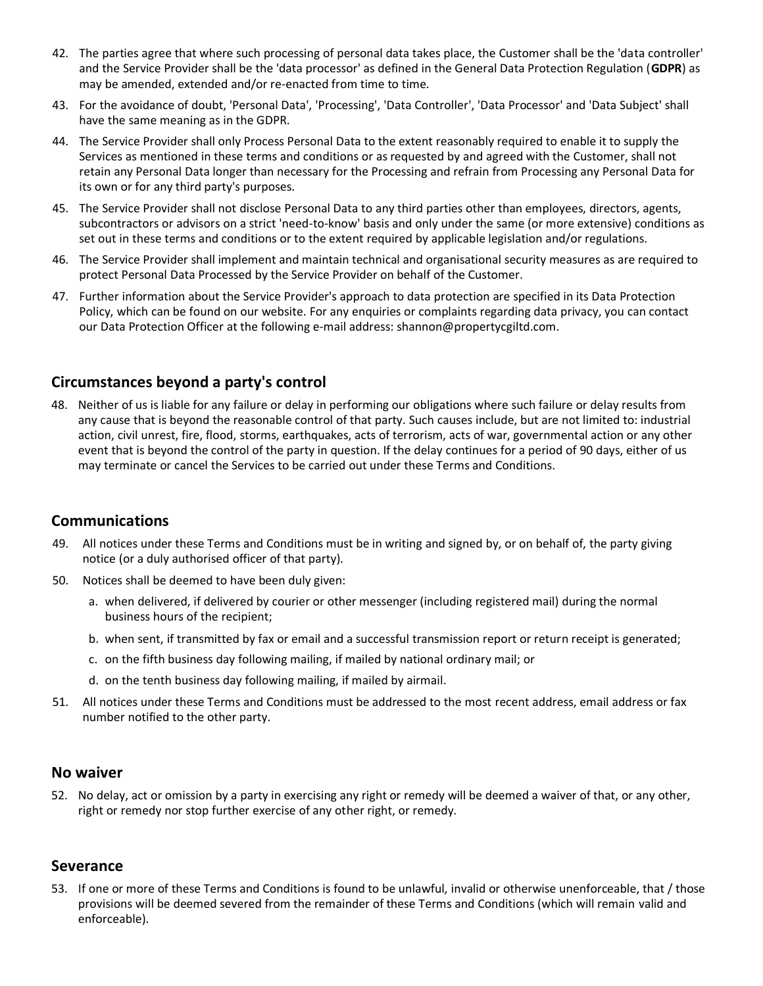- 42. The parties agree that where such processing of personal data takes place, the Customer shall be the 'data controller' and the Service Provider shall be the 'data processor' as defined in the General Data Protection Regulation (**GDPR**) as may be amended, extended and/or re-enacted from time to time.
- 43. For the avoidance of doubt, 'Personal Data', 'Processing', 'Data Controller', 'Data Processor' and 'Data Subject' shall have the same meaning as in the GDPR.
- 44. The Service Provider shall only Process Personal Data to the extent reasonably required to enable it to supply the Services as mentioned in these terms and conditions or as requested by and agreed with the Customer, shall not retain any Personal Data longer than necessary for the Processing and refrain from Processing any Personal Data for its own or for any third party's purposes.
- 45. The Service Provider shall not disclose Personal Data to any third parties other than employees, directors, agents, subcontractors or advisors on a strict 'need-to-know' basis and only under the same (or more extensive) conditions as set out in these terms and conditions or to the extent required by applicable legislation and/or regulations.
- 46. The Service Provider shall implement and maintain technical and organisational security measures as are required to protect Personal Data Processed by the Service Provider on behalf of the Customer.
- 47. Further information about the Service Provider's approach to data protection are specified in its Data Protection Policy, which can be found on our website. For any enquiries or complaints regarding data privacy, you can contact our Data Protection Officer at the following e-mail address: shannon@propertycgiltd.com.

#### **Circumstances beyond a party's control**

48. Neither of us is liable for any failure or delay in performing our obligations where such failure or delay results from any cause that is beyond the reasonable control of that party. Such causes include, but are not limited to: industrial action, civil unrest, fire, flood, storms, earthquakes, acts of terrorism, acts of war, governmental action or any other event that is beyond the control of the party in question. If the delay continues for a period of 90 days, either of us may terminate or cancel the Services to be carried out under these Terms and Conditions.

#### **Communications**

- 49. All notices under these Terms and Conditions must be in writing and signed by, or on behalf of, the party giving notice (or a duly authorised officer of that party).
- 50. Notices shall be deemed to have been duly given:
	- a. when delivered, if delivered by courier or other messenger (including registered mail) during the normal business hours of the recipient;
	- b. when sent, if transmitted by fax or email and a successful transmission report or return receipt is generated;
	- c. on the fifth business day following mailing, if mailed by national ordinary mail; or
	- d. on the tenth business day following mailing, if mailed by airmail.
- 51. All notices under these Terms and Conditions must be addressed to the most recent address, email address or fax number notified to the other party.

#### **No waiver**

52. No delay, act or omission by a party in exercising any right or remedy will be deemed a waiver of that, or any other, right or remedy nor stop further exercise of any other right, or remedy.

#### **Severance**

53. If one or more of these Terms and Conditions is found to be unlawful, invalid or otherwise unenforceable, that / those provisions will be deemed severed from the remainder of these Terms and Conditions (which will remain valid and enforceable).